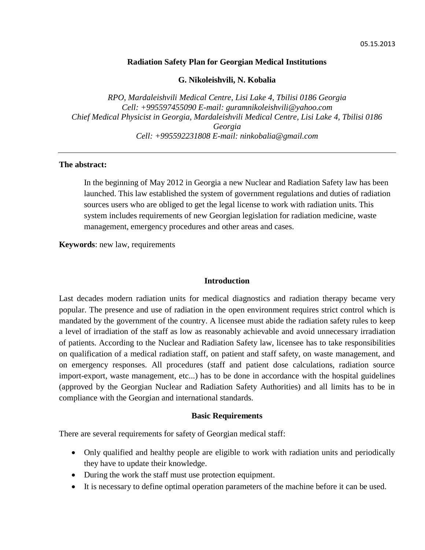#### **Radiation Safety Plan for Georgian Medical Institutions**

#### **G. Nikoleishvili, N. Kobalia**

*RPO, Mardaleishvili Medical Centre, Lisi Lake 4, Tbilisi 0186 Georgia Cell: +995597455090 E-mail: guramnikoleishvili@yahoo.com Chief Medical Physicist in Georgia, Mardaleishvili Medical Centre, Lisi Lake 4, Tbilisi 0186 Georgia Cell: +995592231808 E-mail: ninkobalia@gmail.com*

# **The abstract:**

In the beginning of May 2012 in Georgia a new Nuclear and Radiation Safety law has been launched. This law established the system of government regulations and duties of radiation sources users who are obliged to get the legal license to work with radiation units. This system includes requirements of new Georgian legislation for radiation medicine, waste management, emergency procedures and other areas and cases.

**Keywords**: new law, requirements

# **Introduction**

Last decades modern radiation units for medical diagnostics and radiation therapy became very popular. The presence and use of radiation in the open environment requires strict control which is mandated by the government of the country. A licensee must abide the radiation safety rules to keep a level of irradiation of the staff as low as reasonably achievable and avoid unnecessary irradiation of patients. According to the Nuclear and Radiation Safety law, licensee has to take responsibilities on qualification of a medical radiation staff, on patient and staff safety, on waste management, and on emergency responses. All procedures (staff and patient dose calculations, radiation source import-export, waste management, etc...) has to be done in accordance with the hospital guidelines (approved by the Georgian Nuclear and Radiation Safety Authorities) and all limits has to be in compliance with the Georgian and international standards.

# **Basic Requirements**

There are several requirements for safety of Georgian medical staff:

- Only qualified and healthy people are eligible to work with radiation units and periodically they have to update their knowledge.
- During the work the staff must use protection equipment.
- It is necessary to define optimal operation parameters of the machine before it can be used.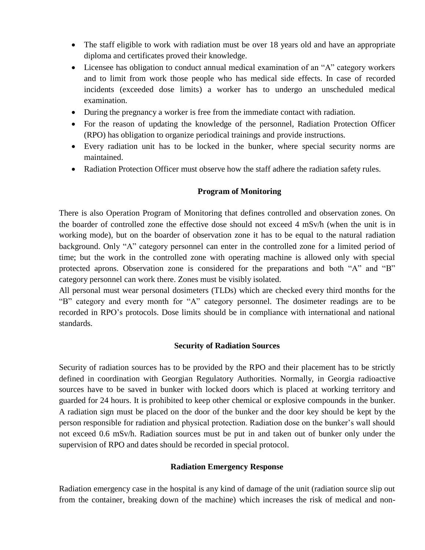- The staff eligible to work with radiation must be over 18 years old and have an appropriate diploma and certificates proved their knowledge.
- Licensee has obligation to conduct annual medical examination of an "A" category workers and to limit from work those people who has medical side effects. In case of recorded incidents (exceeded dose limits) a worker has to undergo an unscheduled medical examination.
- During the pregnancy a worker is free from the immediate contact with radiation.
- For the reason of updating the knowledge of the personnel, Radiation Protection Officer (RPO) has obligation to organize periodical trainings and provide instructions.
- Every radiation unit has to be locked in the bunker, where special security norms are maintained.
- Radiation Protection Officer must observe how the staff adhere the radiation safety rules.

# **Program of Monitoring**

There is also Operation Program of Monitoring that defines controlled and observation zones. On the boarder of controlled zone the effective dose should not exceed 4 mSv/h (when the unit is in working mode), but on the boarder of observation zone it has to be equal to the natural radiation background. Only "A" category personnel can enter in the controlled zone for a limited period of time; but the work in the controlled zone with operating machine is allowed only with special protected aprons. Observation zone is considered for the preparations and both "A" and "B" category personnel can work there. Zones must be visibly isolated.

All personal must wear personal dosimeters (TLDs) which are checked every third months for the "B" category and every month for "A" category personnel. The dosimeter readings are to be recorded in RPO's protocols. Dose limits should be in compliance with international and national standards.

# **Security of Radiation Sources**

Security of radiation sources has to be provided by the RPO and their placement has to be strictly defined in coordination with Georgian Regulatory Authorities. Normally, in Georgia radioactive sources have to be saved in bunker with locked doors which is placed at working territory and guarded for 24 hours. It is prohibited to keep other chemical or explosive compounds in the bunker. A radiation sign must be placed on the door of the bunker and the door key should be kept by the person responsible for radiation and physical protection. Radiation dose on the bunker's wall should not exceed 0.6 mSv/h. Radiation sources must be put in and taken out of bunker only under the supervision of RPO and dates should be recorded in special protocol.

# **Radiation Emergency Response**

Radiation emergency case in the hospital is any kind of damage of the unit (radiation source slip out from the container, breaking down of the machine) which increases the risk of medical and non